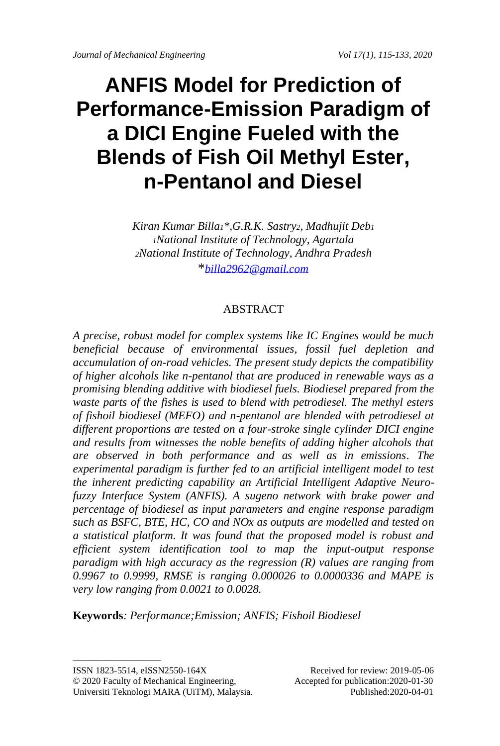# **ANFIS Model for Prediction of Performance-Emission Paradigm of a DICI Engine Fueled with the Blends of Fish Oil Methyl Ester, n-Pentanol and Diesel**

*Kiran Kumar Billa1\*,G.R.K. Sastry2, Madhujit Deb<sup>1</sup> <sup>1</sup>National Institute of Technology, Agartala <sup>2</sup>National Institute of Technology, Andhra Pradesh* \**[billa2962@gmail.com](mailto:billa2962@gmail.com)*

# ABSTRACT

*A precise, robust model for complex systems like IC Engines would be much beneficial because of environmental issues, fossil fuel depletion and accumulation of on-road vehicles. The present study depicts the compatibility of higher alcohols like n-pentanol that are produced in renewable ways as a promising blending additive with biodiesel fuels. Biodiesel prepared from the waste parts of the fishes is used to blend with petrodiesel. The methyl esters of fishoil biodiesel (MEFO) and n-pentanol are blended with petrodiesel at different proportions are tested on a four-stroke single cylinder DICI engine and results from witnesses the noble benefits of adding higher alcohols that are observed in both performance and as well as in emissions. The experimental paradigm is further fed to an artificial intelligent model to test the inherent predicting capability an Artificial Intelligent Adaptive Neurofuzzy Interface System (ANFIS). A sugeno network with brake power and percentage of biodiesel as input parameters and engine response paradigm such as BSFC, BTE, HC, CO and NOx as outputs are modelled and tested on a statistical platform. It was found that the proposed model is robust and efficient system identification tool to map the input-output response paradigm with high accuracy as the regression (R) values are ranging from 0.9967 to 0.9999, RMSE is ranging 0.000026 to 0.0000336 and MAPE is very low ranging from 0.0021 to 0.0028.*

**Keywords***: Performance;Emission; ANFIS; Fishoil Biodiesel*

 $\_$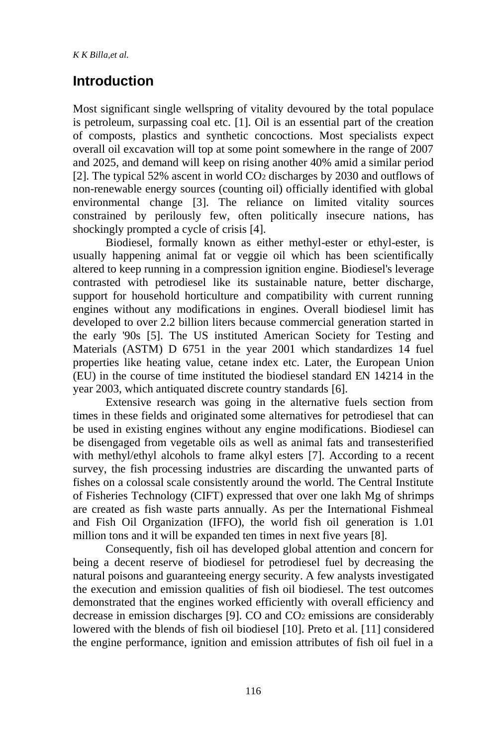# **Introduction**

Most significant single wellspring of vitality devoured by the total populace is petroleum, surpassing coal etc. [1]. Oil is an essential part of the creation of composts, plastics and synthetic concoctions. Most specialists expect overall oil excavation will top at some point somewhere in the range of 2007 and 2025, and demand will keep on rising another 40% amid a similar period [2]. The typical 52% ascent in world CO<sup>2</sup> discharges by 2030 and outflows of non-renewable energy sources (counting oil) officially identified with global environmental change [3]. The reliance on limited vitality sources constrained by perilously few, often politically insecure nations, has shockingly prompted a cycle of crisis [4].

Biodiesel, formally known as either methyl-ester or ethyl-ester, is usually happening animal fat or veggie oil which has been scientifically altered to keep running in a compression ignition engine. Biodiesel's leverage contrasted with petrodiesel like its sustainable nature, better discharge, support for household horticulture and compatibility with current running engines without any modifications in engines. Overall biodiesel limit has developed to over 2.2 billion liters because commercial generation started in the early '90s [5]. The US instituted American Society for Testing and Materials (ASTM) D 6751 in the year 2001 which standardizes 14 fuel properties like heating value, cetane index etc. Later, the European Union (EU) in the course of time instituted the biodiesel standard EN 14214 in the year 2003, which antiquated discrete country standards [6].

Extensive research was going in the alternative fuels section from times in these fields and originated some alternatives for petrodiesel that can be used in existing engines without any engine modifications. Biodiesel can be disengaged from vegetable oils as well as animal fats and transesterified with methyl/ethyl alcohols to frame alkyl esters [7]. According to a recent survey, the fish processing industries are discarding the unwanted parts of fishes on a colossal scale consistently around the world. The Central Institute of Fisheries Technology (CIFT) expressed that over one lakh Mg of shrimps are created as fish waste parts annually. As per the International Fishmeal and Fish Oil Organization (IFFO), the world fish oil generation is 1.01 million tons and it will be expanded ten times in next five years [8].

Consequently, fish oil has developed global attention and concern for being a decent reserve of biodiesel for petrodiesel fuel by decreasing the natural poisons and guaranteeing energy security. A few analysts investigated the execution and emission qualities of fish oil biodiesel. The test outcomes demonstrated that the engines worked efficiently with overall efficiency and decrease in emission discharges [9]. CO and CO<sup>2</sup> emissions are considerably lowered with the blends of fish oil biodiesel [10]. Preto et al. [11] considered the engine performance, ignition and emission attributes of fish oil fuel in a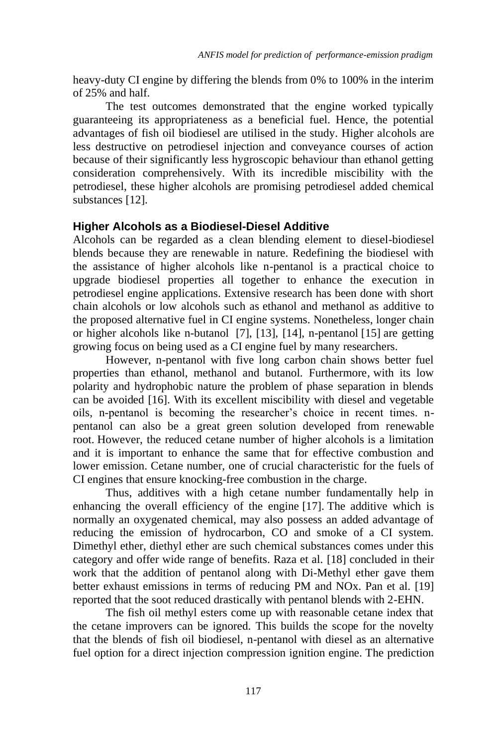heavy-duty CI engine by differing the blends from 0% to 100% in the interim of 25% and half.

The test outcomes demonstrated that the engine worked typically guaranteeing its appropriateness as a beneficial fuel. Hence, the potential advantages of fish oil biodiesel are utilised in the study. Higher alcohols are less destructive on petrodiesel injection and conveyance courses of action because of their significantly less hygroscopic behaviour than ethanol getting consideration comprehensively. With its incredible miscibility with the petrodiesel, these higher alcohols are promising petrodiesel added chemical substances [12].

#### **Higher Alcohols as a Biodiesel-Diesel Additive**

Alcohols can be regarded as a clean blending element to diesel-biodiesel blends because they are renewable in nature. Redefining the biodiesel with the assistance of higher alcohols like n-pentanol is a practical choice to upgrade biodiesel properties all together to enhance the execution in petrodiesel engine applications. Extensive research has been done with short chain alcohols or low alcohols such as ethanol and methanol as additive to the proposed alternative fuel in CI engine systems. Nonetheless, longer chain or higher alcohols like n-butanol [7], [13], [14], n-pentanol [15] are getting growing focus on being used as a CI engine fuel by many researchers.

However, n-pentanol with five long carbon chain shows better fuel properties than ethanol, methanol and butanol. Furthermore, with its low polarity and hydrophobic nature the problem of phase separation in blends can be avoided [16]. With its excellent miscibility with diesel and vegetable oils, n-pentanol is becoming the researcher's choice in recent times. npentanol can also be a great green solution developed from renewable root. However, the reduced cetane number of higher alcohols is a limitation and it is important to enhance the same that for effective combustion and lower emission. Cetane number, one of crucial characteristic for the fuels of CI engines that ensure knocking-free combustion in the charge.

Thus, additives with a high cetane number fundamentally help in enhancing the overall efficiency of the engine [17]. The additive which is normally an oxygenated chemical, may also possess an added advantage of reducing the emission of hydrocarbon, CO and smoke of a CI system. Dimethyl ether, diethyl ether are such chemical substances comes under this category and offer wide range of benefits. Raza et al. [18] concluded in their work that the addition of pentanol along with Di-Methyl ether gave them better exhaust emissions in terms of reducing PM and NOx. Pan et al. [19] reported that the soot reduced drastically with pentanol blends with 2-EHN.

The fish oil methyl esters come up with reasonable cetane index that the cetane improvers can be ignored. This builds the scope for the novelty that the blends of fish oil biodiesel, n-pentanol with diesel as an alternative fuel option for a direct injection compression ignition engine. The prediction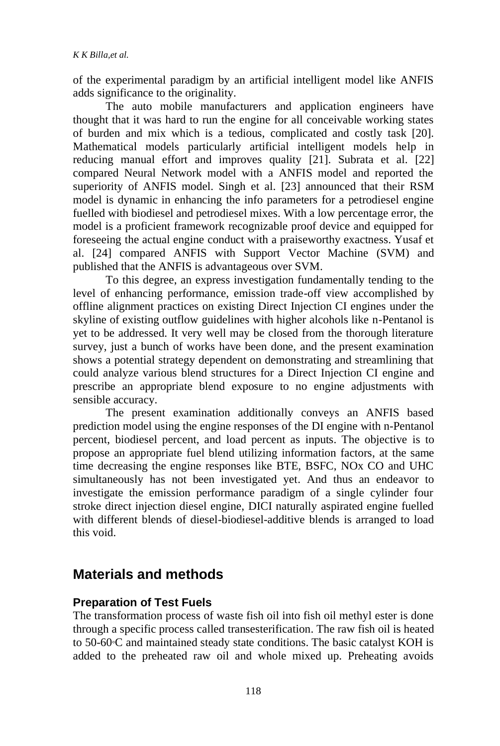of the experimental paradigm by an artificial intelligent model like ANFIS adds significance to the originality.

The auto mobile manufacturers and application engineers have thought that it was hard to run the engine for all conceivable working states of burden and mix which is a tedious, complicated and costly task [20]. Mathematical models particularly artificial intelligent models help in reducing manual effort and improves quality [21]. Subrata et al. [22] compared Neural Network model with a ANFIS model and reported the superiority of ANFIS model. Singh et al. [23] announced that their RSM model is dynamic in enhancing the info parameters for a petrodiesel engine fuelled with biodiesel and petrodiesel mixes. With a low percentage error, the model is a proficient framework recognizable proof device and equipped for foreseeing the actual engine conduct with a praiseworthy exactness. Yusaf et al. [24] compared ANFIS with Support Vector Machine (SVM) and published that the ANFIS is advantageous over SVM.

To this degree, an express investigation fundamentally tending to the level of enhancing performance, emission trade-off view accomplished by offline alignment practices on existing Direct Injection CI engines under the skyline of existing outflow guidelines with higher alcohols like n-Pentanol is yet to be addressed. It very well may be closed from the thorough literature survey, just a bunch of works have been done, and the present examination shows a potential strategy dependent on demonstrating and streamlining that could analyze various blend structures for a Direct Injection CI engine and prescribe an appropriate blend exposure to no engine adjustments with sensible accuracy.

The present examination additionally conveys an ANFIS based prediction model using the engine responses of the DI engine with n-Pentanol percent, biodiesel percent, and load percent as inputs. The objective is to propose an appropriate fuel blend utilizing information factors, at the same time decreasing the engine responses like BTE, BSFC, NOx CO and UHC simultaneously has not been investigated yet. And thus an endeavor to investigate the emission performance paradigm of a single cylinder four stroke direct injection diesel engine, DICI naturally aspirated engine fuelled with different blends of diesel-biodiesel-additive blends is arranged to load this void.

# **Materials and methods**

### **Preparation of Test Fuels**

The transformation process of waste fish oil into fish oil methyl ester is done through a specific process called transesterification. The raw fish oil is heated to 50-60°C and maintained steady state conditions. The basic catalyst KOH is added to the preheated raw oil and whole mixed up. Preheating avoids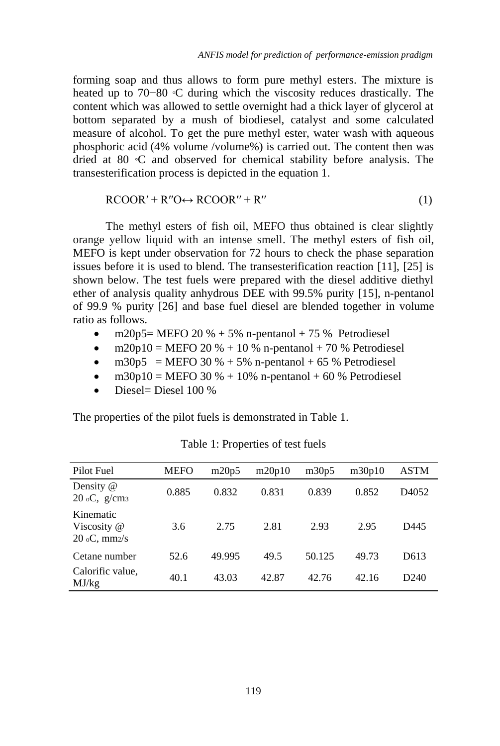forming soap and thus allows to form pure methyl esters. The mixture is heated up to 70−80 °C during which the viscosity reduces drastically. The content which was allowed to settle overnight had a thick layer of glycerol at bottom separated by a mush of biodiesel, catalyst and some calculated measure of alcohol. To get the pure methyl ester, water wash with aqueous phosphoric acid (4% volume /volume%) is carried out. The content then was dried at 80 °C and observed for chemical stability before analysis. The transesterification process is depicted in the equation 1.

$$
RCOOR' + R''O \leftrightarrow RCOOR'' + R''
$$
 (1)

The methyl esters of fish oil, MEFO thus obtained is clear slightly orange yellow liquid with an intense smell. The methyl esters of fish oil, MEFO is kept under observation for 72 hours to check the phase separation issues before it is used to blend. The transesterification reaction [11], [25] is shown below. The test fuels were prepared with the diesel additive diethyl ether of analysis quality anhydrous DEE with 99.5% purity [15], n-pentanol of 99.9 % purity [26] and base fuel diesel are blended together in volume ratio as follows.

- m20p5= MEFO 20  $%$  + 5% n-pentanol + 75 % Petrodiesel
- $m20p10 = MEFO 20 % + 10 %$  n-pentanol + 70 % Petrodiesel
- $m30p5$  = MEFO 30 % + 5% n-pentanol + 65 % Petrodiesel
- $m30p10 = MEFO$  30 % + 10% n-pentanol + 60 % Petrodiesel
- Diesel= Diesel 100 %

The properties of the pilot fuels is demonstrated in Table 1.

| Pilot Fuel                                    | <b>MEFO</b> | m20p5  | m20p10 | m30p5  | m30p10 | ASTM             |
|-----------------------------------------------|-------------|--------|--------|--------|--------|------------------|
| Density @<br>$20 \text{ oC}, \text{ g/cm}$    | 0.885       | 0.832  | 0.831  | 0.839  | 0.852  | D4052            |
| Kinematic<br>Viscosity @<br>$20$ oC, mm $2/s$ | 3.6         | 2.75   | 2.81   | 2.93   | 2.95   | D445             |
| Cetane number                                 | 52.6        | 49.995 | 49.5   | 50.125 | 49.73  | D613             |
| Calorific value,<br>MJ/kg                     | 40.1        | 43.03  | 42.87  | 42.76  | 42.16  | D <sub>240</sub> |

Table 1: Properties of test fuels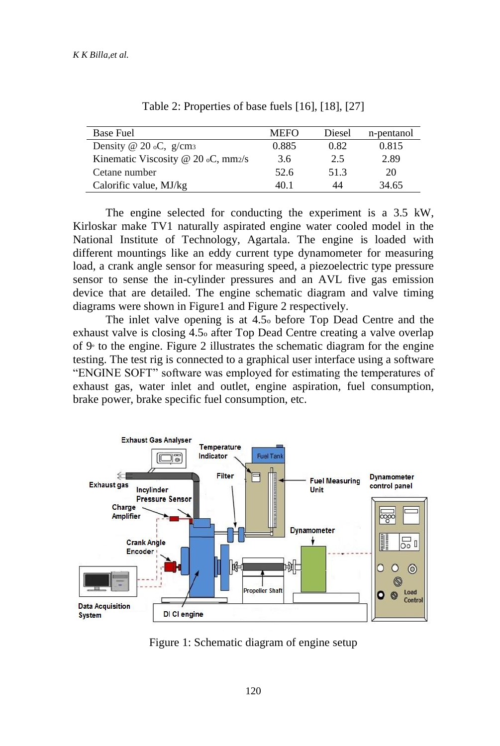| Base Fuel                                 | <b>MEFO</b> | Diesel | n-pentanol |
|-------------------------------------------|-------------|--------|------------|
| Density @ $20$ oC, g/cm <sub>3</sub>      | 0.885       | 0.82   | 0.815      |
| Kinematic Viscosity @ 20 $\circ$ C, mm2/s | 3.6         | 2.5    | 2.89       |
| Cetane number                             | 52.6        | 51.3   | 20         |
| Calorific value, MJ/kg                    | 40.1        | 44     | 34.65      |

Table 2: Properties of base fuels [16], [18], [27]

The engine selected for conducting the experiment is a 3.5 kW, Kirloskar make TV1 naturally aspirated engine water cooled model in the National Institute of Technology, Agartala. The engine is loaded with different mountings like an eddy current type dynamometer for measuring load, a crank angle sensor for measuring speed, a piezoelectric type pressure sensor to sense the in-cylinder pressures and an AVL five gas emission device that are detailed. The engine schematic diagram and valve timing diagrams were shown in Figure1 and Figure 2 respectively.

The inlet valve opening is at 4.5<sup>o</sup> before Top Dead Centre and the exhaust valve is closing 4.5<sup>o</sup> after Top Dead Centre creating a valve overlap of 9<sup>º</sup> to the engine. Figure 2 illustrates the schematic diagram for the engine testing. The test rig is connected to a graphical user interface using a software "ENGINE SOFT" software was employed for estimating the temperatures of exhaust gas, water inlet and outlet, engine aspiration, fuel consumption, brake power, brake specific fuel consumption, etc.



Figure 1: Schematic diagram of engine setup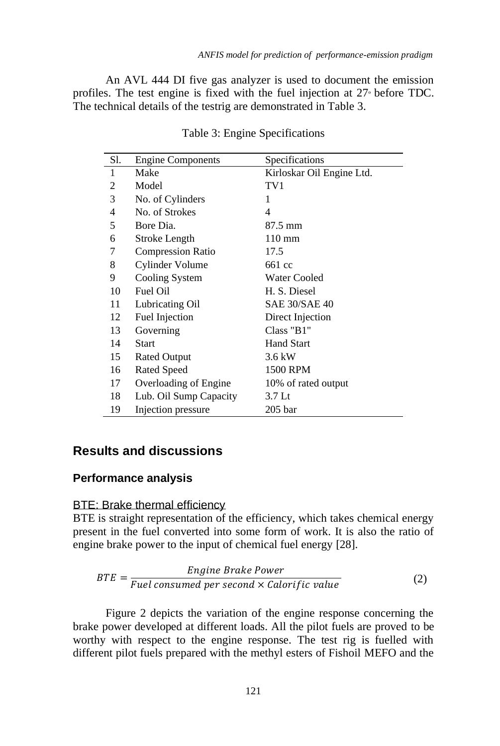An AVL 444 DI five gas analyzer is used to document the emission profiles. The test engine is fixed with the fuel injection at 27<sup>º</sup> before TDC. The technical details of the testrig are demonstrated in Table 3.

| Sl. | <b>Engine Components</b> | Specifications            |  |  |
|-----|--------------------------|---------------------------|--|--|
| 1   | Make                     | Kirloskar Oil Engine Ltd. |  |  |
| 2   | Model                    | TV1                       |  |  |
| 3   | No. of Cylinders         | 1                         |  |  |
| 4   | No. of Strokes           | 4                         |  |  |
| 5   | Bore Dia.                | 87.5 mm                   |  |  |
| 6   | Stroke Length            | $110 \text{ mm}$          |  |  |
| 7   | <b>Compression Ratio</b> | 17.5                      |  |  |
| 8   | Cylinder Volume          | 661 cc                    |  |  |
| 9   | Cooling System           | Water Cooled              |  |  |
| 10  | Fuel Oil                 | H. S. Diesel              |  |  |
| 11  | Lubricating Oil          | <b>SAE 30/SAE 40</b>      |  |  |
| 12  | Fuel Injection           | Direct Injection          |  |  |
| 13  | Governing                | Class "B1"                |  |  |
| 14  | <b>Start</b>             | <b>Hand Start</b>         |  |  |
| 15  | <b>Rated Output</b>      | 3.6 kW                    |  |  |
| 16  | Rated Speed              | 1500 RPM                  |  |  |
| 17  | Overloading of Engine    | 10% of rated output       |  |  |
| 18  | Lub. Oil Sump Capacity   | 3.7 Lt                    |  |  |
| 19  | Injection pressure       | $205$ bar                 |  |  |

Table 3: Engine Specifications

## **Results and discussions**

## **Performance analysis**

#### BTE: Brake thermal efficiency

BTE is straight representation of the efficiency, which takes chemical energy present in the fuel converted into some form of work. It is also the ratio of engine brake power to the input of chemical fuel energy [28].

$$
BTE = \frac{Engineering\,Brake\,Power}{Fuel\,consumed\,per\,second \times \,Calorific\,value}
$$
 (2)

Figure 2 depicts the variation of the engine response concerning the brake power developed at different loads. All the pilot fuels are proved to be worthy with respect to the engine response. The test rig is fuelled with different pilot fuels prepared with the methyl esters of Fishoil MEFO and the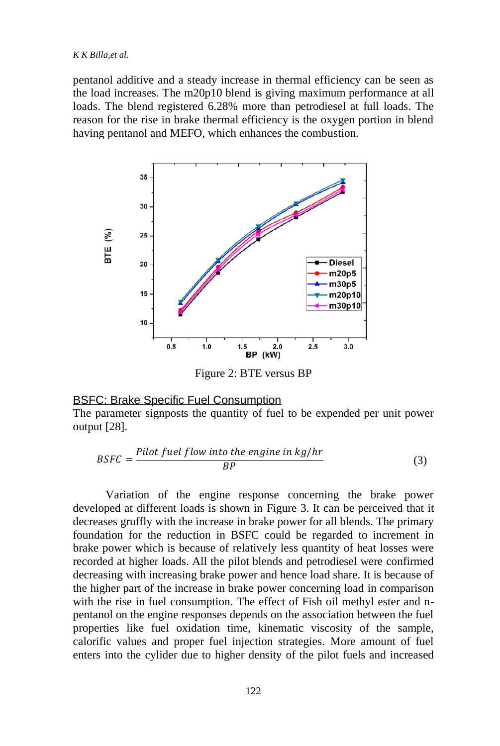#### *K K Billa,et al.*

pentanol additive and a steady increase in thermal efficiency can be seen as the load increases. The m20p10 blend is giving maximum performance at all loads. The blend registered 6.28% more than petrodiesel at full loads. The reason for the rise in brake thermal efficiency is the oxygen portion in blend having pentanol and MEFO, which enhances the combustion.



Figure 2: BTE versus BP

#### BSFC: Brake Specific Fuel Consumption

The parameter signposts the quantity of fuel to be expended per unit power output [28].

$$
BSFC = \frac{Pilot fuel flow into the engine in kg/hr}{BP}
$$
 (3)

Variation of the engine response concerning the brake power developed at different loads is shown in Figure 3. It can be perceived that it decreases gruffly with the increase in brake power for all blends. The primary foundation for the reduction in BSFC could be regarded to increment in brake power which is because of relatively less quantity of heat losses were recorded at higher loads. All the pilot blends and petrodiesel were confirmed decreasing with increasing brake power and hence load share. It is because of the higher part of the increase in brake power concerning load in comparison with the rise in fuel consumption. The effect of Fish oil methyl ester and npentanol on the engine responses depends on the association between the fuel properties like fuel oxidation time, kinematic viscosity of the sample, calorific values and proper fuel injection strategies. More amount of fuel enters into the cylider due to higher density of the pilot fuels and increased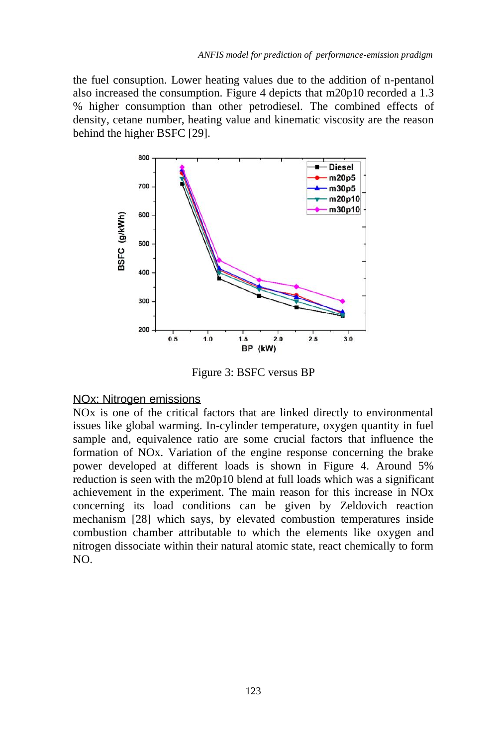the fuel consuption. Lower heating values due to the addition of n-pentanol also increased the consumption. Figure 4 depicts that m20p10 recorded a 1.3 % higher consumption than other petrodiesel. The combined effects of density, cetane number, heating value and kinematic viscosity are the reason behind the higher BSFC [29].



Figure 3: BSFC versus BP

#### NOx: Nitrogen emissions

NOx is one of the critical factors that are linked directly to environmental issues like global warming. In-cylinder temperature, oxygen quantity in fuel sample and, equivalence ratio are some crucial factors that influence the formation of NOx. Variation of the engine response concerning the brake power developed at different loads is shown in Figure 4. Around 5% reduction is seen with the m20p10 blend at full loads which was a significant achievement in the experiment. The main reason for this increase in NOx concerning its load conditions can be given by Zeldovich reaction mechanism [28] which says, by elevated combustion temperatures inside combustion chamber attributable to which the elements like oxygen and nitrogen dissociate within their natural atomic state, react chemically to form NO.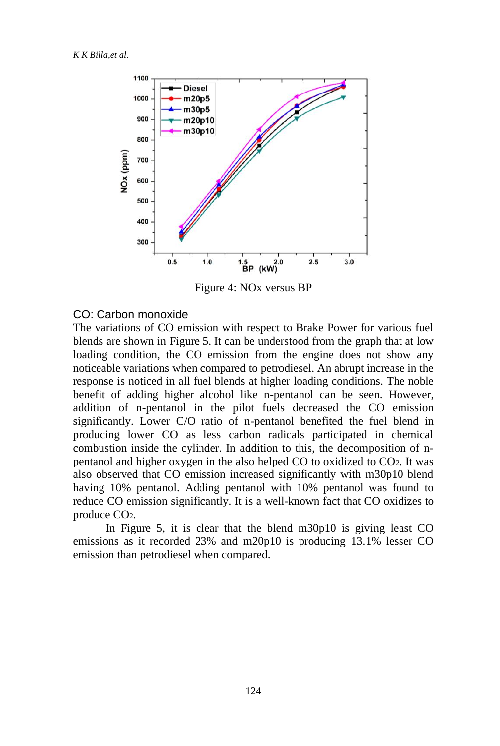

Figure 4: NOx versus BP

#### CO: Carbon monoxide

The variations of CO emission with respect to Brake Power for various fuel blends are shown in Figure 5. It can be understood from the graph that at low loading condition, the CO emission from the engine does not show any noticeable variations when compared to petrodiesel. An abrupt increase in the response is noticed in all fuel blends at higher loading conditions. The noble benefit of adding higher alcohol like n-pentanol can be seen. However, addition of n-pentanol in the pilot fuels decreased the CO emission significantly. Lower C/O ratio of n-pentanol benefited the fuel blend in producing lower CO as less carbon radicals participated in chemical combustion inside the cylinder. In addition to this, the decomposition of npentanol and higher oxygen in the also helped CO to oxidized to CO2. It was also observed that CO emission increased significantly with m30p10 blend having 10% pentanol. Adding pentanol with 10% pentanol was found to reduce CO emission significantly. It is a well-known fact that CO oxidizes to produce CO2.

In Figure 5, it is clear that the blend m30p10 is giving least CO emissions as it recorded 23% and m20p10 is producing 13.1% lesser CO emission than petrodiesel when compared.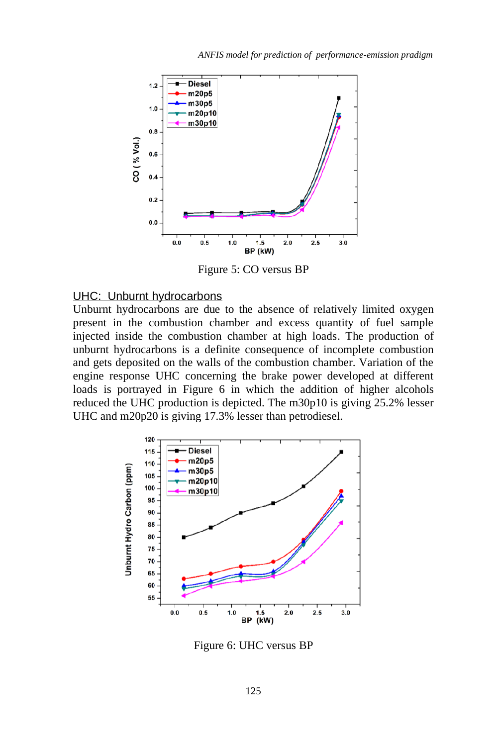

Figure 5: CO versus BP

#### UHC: Unburnt hydrocarbons

Unburnt hydrocarbons are due to the absence of relatively limited oxygen present in the combustion chamber and excess quantity of fuel sample injected inside the combustion chamber at high loads. The production of unburnt hydrocarbons is a definite consequence of incomplete combustion and gets deposited on the walls of the combustion chamber. Variation of the engine response UHC concerning the brake power developed at different loads is portrayed in Figure 6 in which the addition of higher alcohols reduced the UHC production is depicted. The m30p10 is giving 25.2% lesser UHC and m20p20 is giving 17.3% lesser than petrodiesel.



Figure 6: UHC versus BP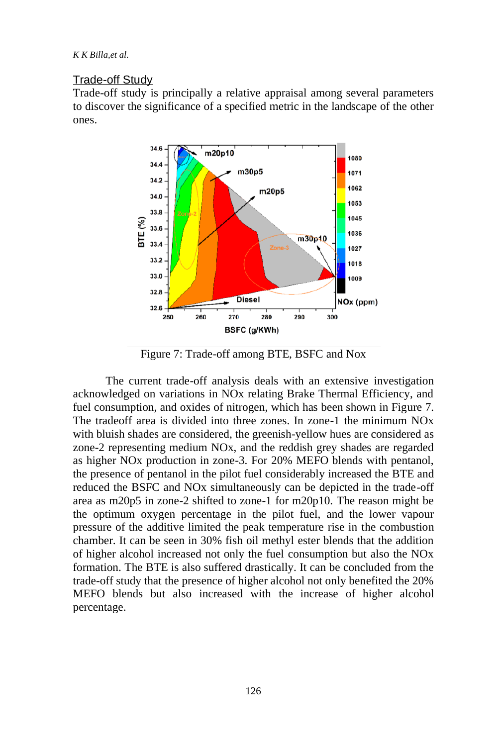*K K Billa,et al.*

#### Trade-off Study

Trade-off study is principally a relative appraisal among several parameters to discover the significance of a specified metric in the landscape of the other ones.



Figure 7: Trade-off among BTE, BSFC and Nox

The current trade-off analysis deals with an extensive investigation acknowledged on variations in NOx relating Brake Thermal Efficiency, and fuel consumption, and oxides of nitrogen, which has been shown in Figure 7. The tradeoff area is divided into three zones. In zone-1 the minimum NOx with bluish shades are considered, the greenish-yellow hues are considered as zone-2 representing medium NOx, and the reddish grey shades are regarded as higher NOx production in zone-3. For 20% MEFO blends with pentanol, the presence of pentanol in the pilot fuel considerably increased the BTE and reduced the BSFC and NOx simultaneously can be depicted in the trade-off area as m20p5 in zone-2 shifted to zone-1 for m20p10. The reason might be the optimum oxygen percentage in the pilot fuel, and the lower vapour pressure of the additive limited the peak temperature rise in the combustion chamber. It can be seen in 30% fish oil methyl ester blends that the addition of higher alcohol increased not only the fuel consumption but also the NOx formation. The BTE is also suffered drastically. It can be concluded from the trade-off study that the presence of higher alcohol not only benefited the 20% MEFO blends but also increased with the increase of higher alcohol percentage.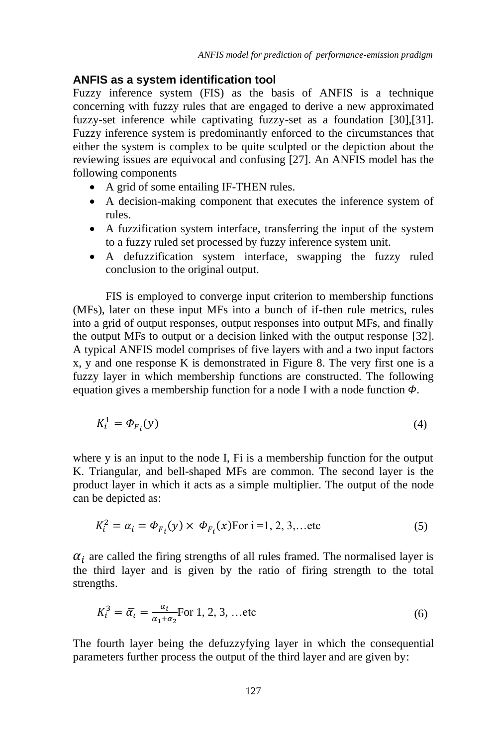#### **ANFIS as a system identification tool**

Fuzzy inference system (FIS) as the basis of ANFIS is a technique concerning with fuzzy rules that are engaged to derive a new approximated fuzzy-set inference while captivating fuzzy-set as a foundation [30],[31]. Fuzzy inference system is predominantly enforced to the circumstances that either the system is complex to be quite sculpted or the depiction about the reviewing issues are equivocal and confusing [27]. An ANFIS model has the following components

- A grid of some entailing IF-THEN rules.
- A decision-making component that executes the inference system of rules.
- A fuzzification system interface, transferring the input of the system to a fuzzy ruled set processed by fuzzy inference system unit.
- A defuzzification system interface, swapping the fuzzy ruled conclusion to the original output.

FIS is employed to converge input criterion to membership functions (MFs), later on these input MFs into a bunch of if-then rule metrics, rules into a grid of output responses, output responses into output MFs, and finally the output MFs to output or a decision linked with the output response [32]. A typical ANFIS model comprises of five layers with and a two input factors x, y and one response K is demonstrated in Figure 8. The very first one is a fuzzy layer in which membership functions are constructed. The following equation gives a membership function for a node I with a node function  $\Phi$ .

$$
K_i^1 = \Phi_{F_i}(y) \tag{4}
$$

where y is an input to the node I, Fi is a membership function for the output K. Triangular, and bell-shaped MFs are common. The second layer is the product layer in which it acts as a simple multiplier. The output of the node can be depicted as:

$$
K_i^2 = \alpha_i = \Phi_{F_i}(y) \times \Phi_{F_i}(x) \quad \text{For } i = 1, 2, 3, \dots \text{etc}
$$
 (5)

 $\alpha_i$  are called the firing strengths of all rules framed. The normalised layer is the third layer and is given by the ratio of firing strength to the total strengths.

$$
K_i^3 = \overline{\alpha}_i = \frac{\alpha_i}{\alpha_1 + \alpha_2} \text{For } 1, 2, 3, \dots \text{etc}
$$
 (6)

The fourth layer being the defuzzyfying layer in which the consequential parameters further process the output of the third layer and are given by: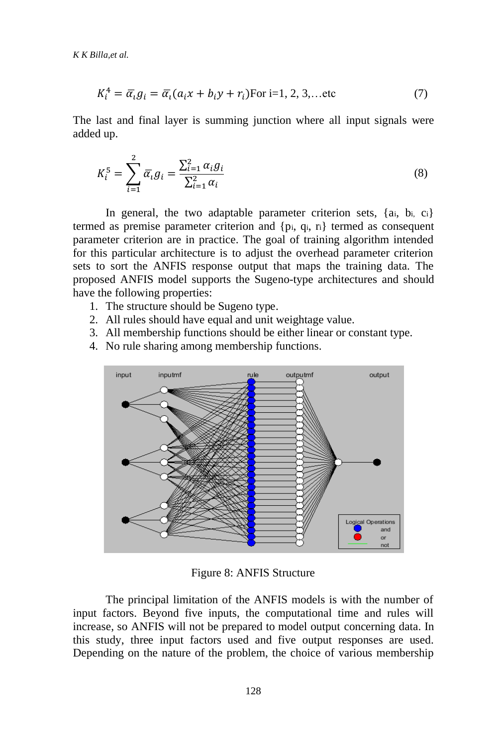$$
K_i^4 = \overline{\alpha}_i g_i = \overline{\alpha}_i (a_i x + b_i y + r_i) \text{For } i = 1, 2, 3, \dots \text{etc}
$$
 (7)

The last and final layer is summing junction where all input signals were added up.

$$
K_i^5 = \sum_{i=1}^2 \overline{\alpha}_i g_i = \frac{\sum_{i=1}^2 \alpha_i g_i}{\sum_{i=1}^2 \alpha_i}
$$
 (8)

In general, the two adaptable parameter criterion sets, {ai, bi, ci} termed as premise parameter criterion and {pi, qi, ri} termed as consequent parameter criterion are in practice. The goal of training algorithm intended for this particular architecture is to adjust the overhead parameter criterion sets to sort the ANFIS response output that maps the training data. The proposed ANFIS model supports the Sugeno-type architectures and should have the following properties:

- 1. The structure should be Sugeno type.
- 2. All rules should have equal and unit weightage value.
- 3. All membership functions should be either linear or constant type.
- 4. No rule sharing among membership functions.



Figure 8: ANFIS Structure

The principal limitation of the ANFIS models is with the number of input factors. Beyond five inputs, the computational time and rules will increase, so ANFIS will not be prepared to model output concerning data. In this study, three input factors used and five output responses are used. Depending on the nature of the problem, the choice of various membership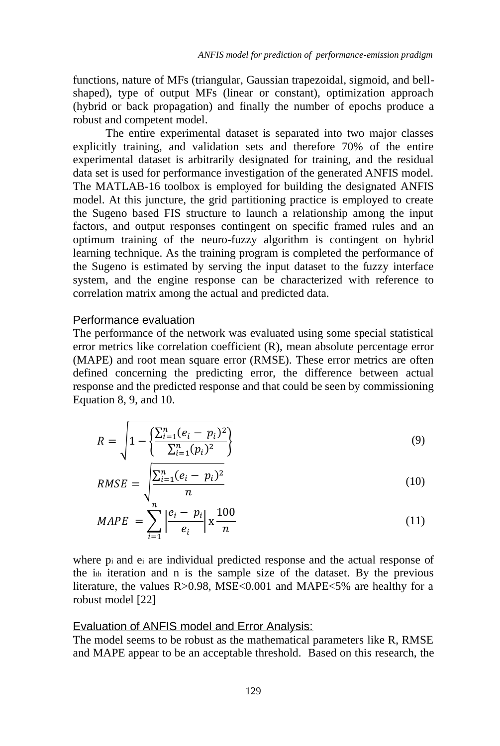functions, nature of MFs (triangular, Gaussian trapezoidal, sigmoid, and bellshaped), type of output MFs (linear or constant), optimization approach (hybrid or back propagation) and finally the number of epochs produce a robust and competent model.

The entire experimental dataset is separated into two major classes explicitly training, and validation sets and therefore 70% of the entire experimental dataset is arbitrarily designated for training, and the residual data set is used for performance investigation of the generated ANFIS model. The MATLAB-16 toolbox is employed for building the designated ANFIS model. At this juncture, the grid partitioning practice is employed to create the Sugeno based FIS structure to launch a relationship among the input factors, and output responses contingent on specific framed rules and an optimum training of the neuro-fuzzy algorithm is contingent on hybrid learning technique. As the training program is completed the performance of the Sugeno is estimated by serving the input dataset to the fuzzy interface system, and the engine response can be characterized with reference to correlation matrix among the actual and predicted data.

#### Performance evaluation

The performance of the network was evaluated using some special statistical error metrics like correlation coefficient (R), mean absolute percentage error (MAPE) and root mean square error (RMSE). These error metrics are often defined concerning the predicting error, the difference between actual response and the predicted response and that could be seen by commissioning Equation 8, 9, and 10.

$$
R = \sqrt{1 - \left\{ \frac{\sum_{i=1}^{n} (e_i - p_i)^2}{\sum_{i=1}^{n} (p_i)^2} \right\}}
$$
(9)

$$
RMSE = \sqrt{\frac{\sum_{i=1}^{n} (e_i - p_i)^2}{n}}
$$
(10)

$$
MAPE = \sum_{i=1}^{n} \left| \frac{e_i - p_i}{e_i} \right| \ge \frac{100}{n}
$$
 (11)

where pi and e<sup>i</sup> are individual predicted response and the actual response of the i<sub>th</sub> iteration and n is the sample size of the dataset. By the previous literature, the values R>0.98, MSE<0.001 and MAPE<5% are healthy for a robust model [22]

#### Evaluation of ANFIS model and Error Analysis:

The model seems to be robust as the mathematical parameters like R, RMSE and MAPE appear to be an acceptable threshold. Based on this research, the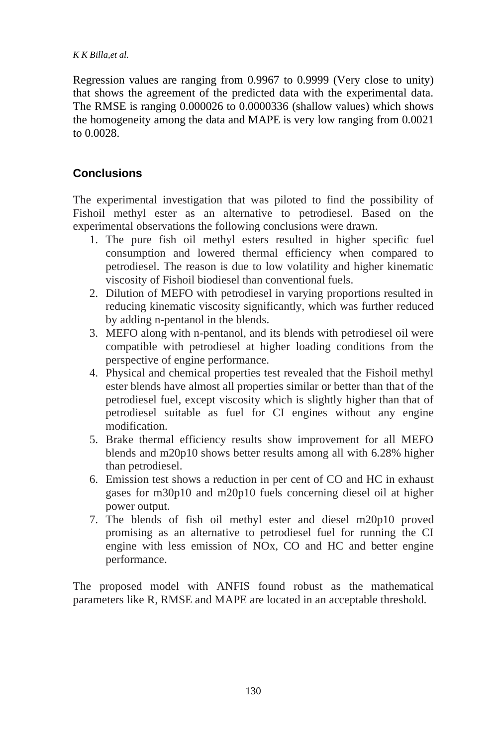#### *K K Billa,et al.*

Regression values are ranging from 0.9967 to 0.9999 (Very close to unity) that shows the agreement of the predicted data with the experimental data. The RMSE is ranging 0.000026 to 0.0000336 (shallow values) which shows the homogeneity among the data and MAPE is very low ranging from 0.0021 to 0.0028.

# **Conclusions**

The experimental investigation that was piloted to find the possibility of Fishoil methyl ester as an alternative to petrodiesel. Based on the experimental observations the following conclusions were drawn.

- 1. The pure fish oil methyl esters resulted in higher specific fuel consumption and lowered thermal efficiency when compared to petrodiesel. The reason is due to low volatility and higher kinematic viscosity of Fishoil biodiesel than conventional fuels.
- 2. Dilution of MEFO with petrodiesel in varying proportions resulted in reducing kinematic viscosity significantly, which was further reduced by adding n-pentanol in the blends.
- 3. MEFO along with n-pentanol, and its blends with petrodiesel oil were compatible with petrodiesel at higher loading conditions from the perspective of engine performance.
- 4. Physical and chemical properties test revealed that the Fishoil methyl ester blends have almost all properties similar or better than that of the petrodiesel fuel, except viscosity which is slightly higher than that of petrodiesel suitable as fuel for CI engines without any engine modification.
- 5. Brake thermal efficiency results show improvement for all MEFO blends and m20p10 shows better results among all with 6.28% higher than petrodiesel.
- 6. Emission test shows a reduction in per cent of CO and HC in exhaust gases for m30p10 and m20p10 fuels concerning diesel oil at higher power output.
- 7. The blends of fish oil methyl ester and diesel m20p10 proved promising as an alternative to petrodiesel fuel for running the CI engine with less emission of NOx, CO and HC and better engine performance.

The proposed model with ANFIS found robust as the mathematical parameters like R, RMSE and MAPE are located in an acceptable threshold.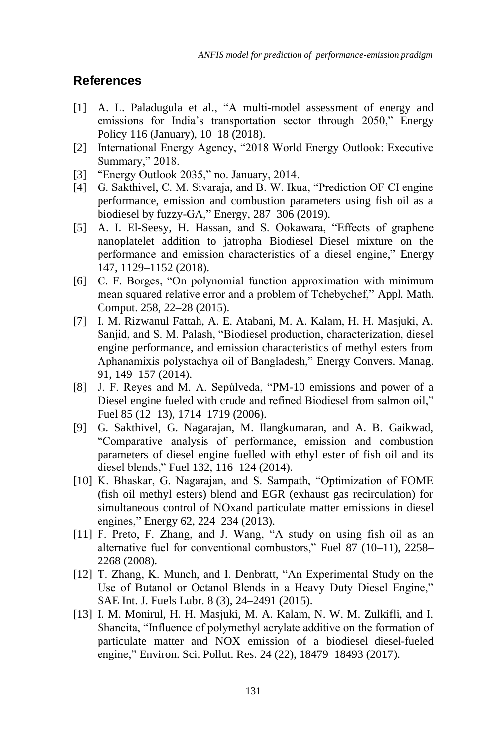## **References**

- [1] A. L. Paladugula et al., "A multi-model assessment of energy and emissions for India's transportation sector through 2050," Energy Policy 116 (January), 10–18 (2018).
- [2] International Energy Agency, "2018 World Energy Outlook: Executive Summary," 2018.
- [3] "Energy Outlook 2035," no. January, 2014.
- [4] G. Sakthivel, C. M. Sivaraja, and B. W. Ikua, "Prediction OF CI engine performance, emission and combustion parameters using fish oil as a biodiesel by fuzzy-GA," Energy, 287–306 (2019).
- [5] A. I. El-Seesy, H. Hassan, and S. Ookawara, "Effects of graphene nanoplatelet addition to jatropha Biodiesel–Diesel mixture on the performance and emission characteristics of a diesel engine," Energy 147, 1129–1152 (2018).
- [6] C. F. Borges, "On polynomial function approximation with minimum mean squared relative error and a problem of Tchebychef," Appl. Math. Comput. 258, 22–28 (2015).
- [7] I. M. Rizwanul Fattah, A. E. Atabani, M. A. Kalam, H. H. Masjuki, A. Sanjid, and S. M. Palash, "Biodiesel production, characterization, diesel engine performance, and emission characteristics of methyl esters from Aphanamixis polystachya oil of Bangladesh," Energy Convers. Manag. 91, 149–157 (2014).
- [8] J. F. Reyes and M. A. Sepúlveda, "PM-10 emissions and power of a Diesel engine fueled with crude and refined Biodiesel from salmon oil," Fuel 85 (12–13), 1714–1719 (2006).
- [9] G. Sakthivel, G. Nagarajan, M. Ilangkumaran, and A. B. Gaikwad, "Comparative analysis of performance, emission and combustion parameters of diesel engine fuelled with ethyl ester of fish oil and its diesel blends," Fuel 132, 116–124 (2014).
- [10] K. Bhaskar, G. Nagarajan, and S. Sampath, "Optimization of FOME (fish oil methyl esters) blend and EGR (exhaust gas recirculation) for simultaneous control of NOxand particulate matter emissions in diesel engines," Energy 62, 224–234 (2013).
- [11] F. Preto, F. Zhang, and J. Wang, "A study on using fish oil as an alternative fuel for conventional combustors," Fuel 87 (10–11), 2258– 2268 (2008).
- [12] T. Zhang, K. Munch, and I. Denbratt, "An Experimental Study on the Use of Butanol or Octanol Blends in a Heavy Duty Diesel Engine," SAE Int. J. Fuels Lubr. 8 (3), 24–2491 (2015).
- [13] I. M. Monirul, H. H. Masjuki, M. A. Kalam, N. W. M. Zulkifli, and I. Shancita, "Influence of polymethyl acrylate additive on the formation of particulate matter and NOX emission of a biodiesel–diesel-fueled engine," Environ. Sci. Pollut. Res. 24 (22), 18479–18493 (2017).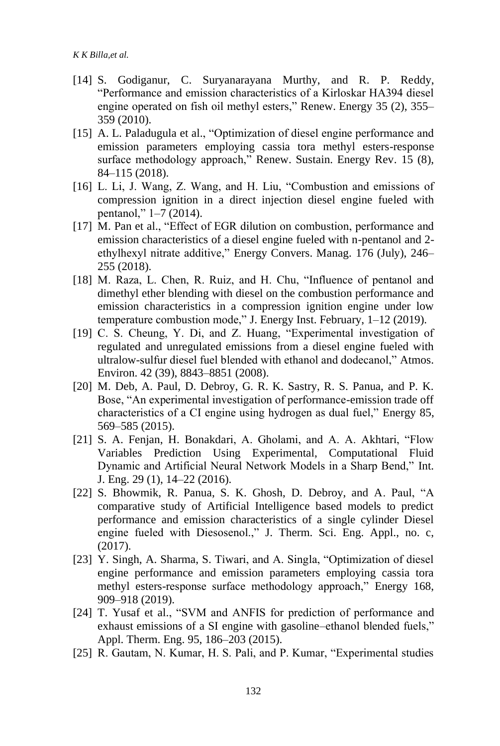- [14] S. Godiganur, C. Suryanarayana Murthy, and R. P. Reddy, "Performance and emission characteristics of a Kirloskar HA394 diesel engine operated on fish oil methyl esters," Renew. Energy 35 (2), 355– 359 (2010).
- [15] A. L. Paladugula et al., "Optimization of diesel engine performance and emission parameters employing cassia tora methyl esters-response surface methodology approach," Renew. Sustain. Energy Rev. 15 (8), 84–115 (2018).
- [16] L. Li, J. Wang, Z. Wang, and H. Liu, "Combustion and emissions of compression ignition in a direct injection diesel engine fueled with pentanol," 1–7 (2014).
- [17] M. Pan et al., "Effect of EGR dilution on combustion, performance and emission characteristics of a diesel engine fueled with n-pentanol and 2 ethylhexyl nitrate additive," Energy Convers. Manag. 176 (July), 246– 255 (2018).
- [18] M. Raza, L. Chen, R. Ruiz, and H. Chu, "Influence of pentanol and dimethyl ether blending with diesel on the combustion performance and emission characteristics in a compression ignition engine under low temperature combustion mode," J. Energy Inst. February, 1–12 (2019).
- [19] C. S. Cheung, Y. Di, and Z. Huang, "Experimental investigation of regulated and unregulated emissions from a diesel engine fueled with ultralow-sulfur diesel fuel blended with ethanol and dodecanol," Atmos. Environ. 42 (39), 8843–8851 (2008).
- [20] M. Deb, A. Paul, D. Debroy, G. R. K. Sastry, R. S. Panua, and P. K. Bose, "An experimental investigation of performance-emission trade off characteristics of a CI engine using hydrogen as dual fuel," Energy 85, 569–585 (2015).
- [21] S. A. Fenjan, H. Bonakdari, A. Gholami, and A. A. Akhtari, "Flow Variables Prediction Using Experimental, Computational Fluid Dynamic and Artificial Neural Network Models in a Sharp Bend," Int. J. Eng. 29 (1), 14–22 (2016).
- [22] S. Bhowmik, R. Panua, S. K. Ghosh, D. Debroy, and A. Paul, "A comparative study of Artificial Intelligence based models to predict performance and emission characteristics of a single cylinder Diesel engine fueled with Diesosenol.," J. Therm. Sci. Eng. Appl., no. c, (2017).
- [23] Y. Singh, A. Sharma, S. Tiwari, and A. Singla, "Optimization of diesel engine performance and emission parameters employing cassia tora methyl esters-response surface methodology approach," Energy 168, 909–918 (2019).
- [24] T. Yusaf et al., "SVM and ANFIS for prediction of performance and exhaust emissions of a SI engine with gasoline–ethanol blended fuels," Appl. Therm. Eng. 95, 186–203 (2015).
- [25] R. Gautam, N. Kumar, H. S. Pali, and P. Kumar, "Experimental studies